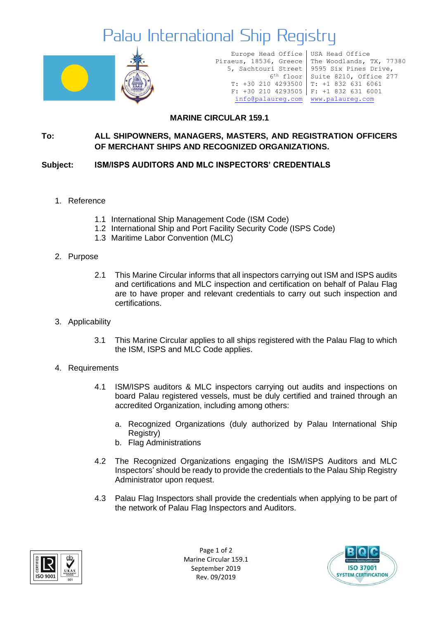## Palau International Ship Registry



Europe Head Office Piraeus, 18536, Greece 5, Sachtouri Street 6th floor T: +30 210 4293500 T: +1 832 631 6061 F: +30 210 4293505 F: +1 832 631 6001 [info@palaureg.com](mailto:info@palaureg.com) [www.palaureg.com](http://www.palaureg.com/)

USA Head Office The Woodlands, TX, 77380 9595 Six Pines Drive, Suite 8210, Office 277

### **MARINE CIRCULAR 159.1**

#### **To: ALL SHIPOWNERS, MANAGERS, MASTERS, AND REGISTRATION OFFICERS OF MERCHANT SHIPS AND RECOGNIZED ORGANIZATIONS.**

#### **Subject: ISM/ISPS AUDITORS AND MLC INSPECTORS' CREDENTIALS**

- 1. Reference
	- 1.1 International Ship Management Code (ISM Code)
	- 1.2 International Ship and Port Facility Security Code (ISPS Code)
	- 1.3 Maritime Labor Convention (MLC)
- 2. Purpose
	- 2.1 This Marine Circular informs that all inspectors carrying out ISM and ISPS audits and certifications and MLC inspection and certification on behalf of Palau Flag are to have proper and relevant credentials to carry out such inspection and certifications.
- 3. Applicability
	- 3.1 This Marine Circular applies to all ships registered with the Palau Flag to which the ISM, ISPS and MLC Code applies.
- 4. Requirements
	- 4.1 ISM/ISPS auditors & MLC inspectors carrying out audits and inspections on board Palau registered vessels, must be duly certified and trained through an accredited Organization, including among others:
		- a. Recognized Organizations (duly authorized by Palau International Ship Registry)
		- b. Flag Administrations
	- 4.2 The Recognized Organizations engaging the ISM/ISPS Auditors and MLC Inspectors' should be ready to provide the credentials to the Palau Ship Registry Administrator upon request.
	- 4.3 Palau Flag Inspectors shall provide the credentials when applying to be part of the network of Palau Flag Inspectors and Auditors.



Page 1 of 2 Marine Circular 159.1 September 2019 Rev. 09/2019